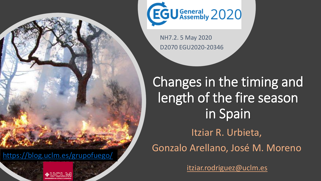

<https://blog.uclm.es/grupofuego/>





NH7.2. 5 May 2020 D2070 EGU2020-20346

Changes in the timing and length of the fire season in Spain Itziar R. Urbieta, Gonzalo Arellano, José M. Moreno

itziar.rodriguez@uclm.es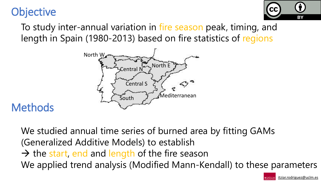



To study inter-annual variation in fire season peak, timing, and length in Spain (1980-2013) based on fire statistics of regions



### **Methods**

We studied annual time series of burned area by fitting GAMs (Generalized Additive Models) to establish  $\rightarrow$  the start, end and length of the fire season We applied trend analysis (Modified Mann-Kendall) to these parameters

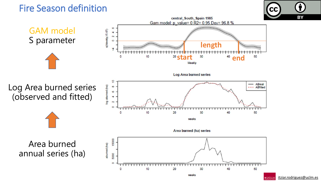### Fire Season definition



itziar.rodriguez@uclm.es

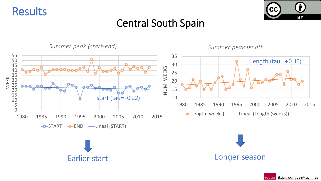



### Central South Spain

*Summer peak (start-end)*

*Summer peak length*



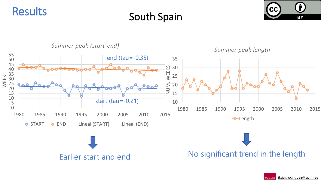





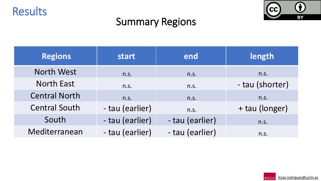



## Summary Regions

| <b>Regions</b>       | start           | end             | length          |
|----------------------|-----------------|-----------------|-----------------|
| <b>North West</b>    | n.s.            | n.s.            | n.s.            |
| <b>North East</b>    | n.s.            | n.s.            | - tau (shorter) |
| <b>Central North</b> | n.S.            | n.S.            | n.s.            |
| <b>Central South</b> | - tau (earlier) | n.s.            | + tau (longer)  |
| South                | - tau (earlier) | - tau (earlier) | n.S.            |
| Mediterranean        | - tau (earlier) | - tau (earlier) | n.s.            |

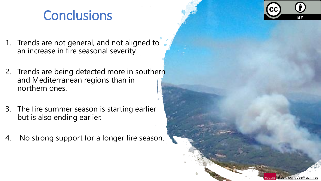# **Conclusions**

- 1. Trends are not general, and not aligned to an increase in fire seasonal severity.
- 2. Trends are being detected more in southern and Mediterranean regions than in northern ones.
- 3. The fire summer season is starting earlier but is also ending earlier.
- 4. No strong support for a longer fire season.